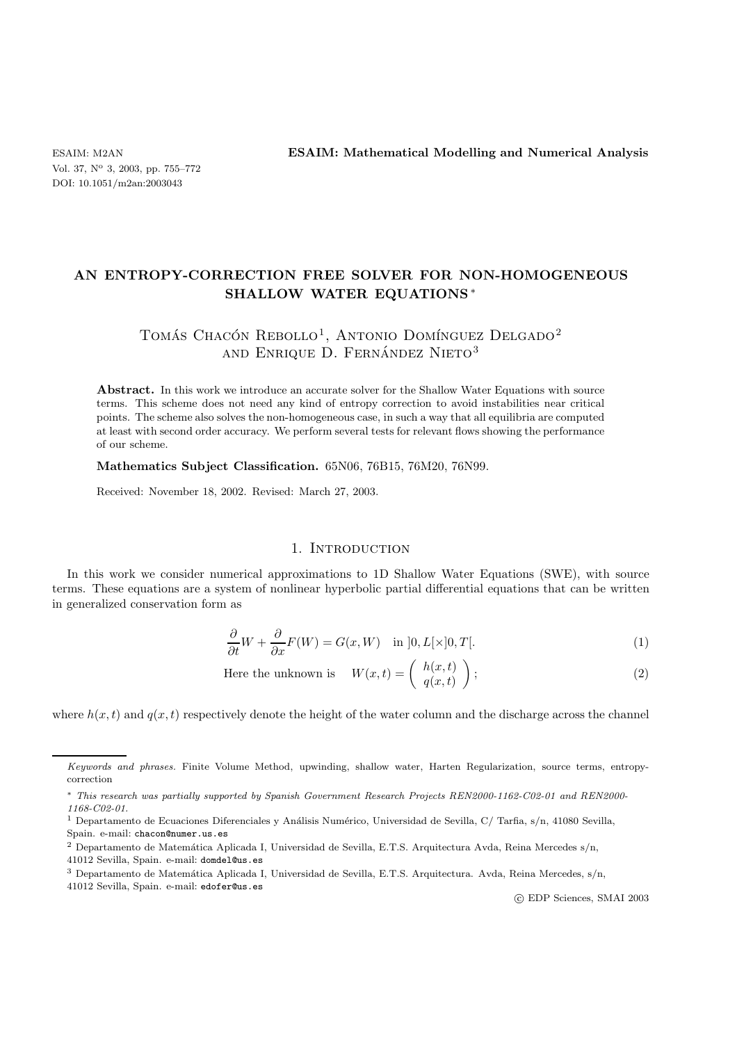Vol. 37, N<sup>o</sup> 3, 2003, pp. 755–772 DOI: 10.1051/m2an:2003043

ESAIM: M2AN **ESAIM: Mathematical Modelling and Numerical Analysis**

# **AN ENTROPY-CORRECTION FREE SOLVER FOR NON-HOMOGENEOUS SHALLOW WATER EQUATIONS**∗

# TOMÁS CHACÓN REBOLLO<sup>1</sup>, ANTONIO DOMÍNGUEZ DELGADO<sup>2</sup> and Enrique D. FERNÁNDEZ NIETO<sup>3</sup>

Abstract. In this work we introduce an accurate solver for the Shallow Water Equations with source terms. This scheme does not need any kind of entropy correction to avoid instabilities near critical points. The scheme also solves the non-homogeneous case, in such a way that all equilibria are computed at least with second order accuracy. We perform several tests for relevant flows showing the performance of our scheme.

**Mathematics Subject Classification.** 65N06, 76B15, 76M20, 76N99.

Received: November 18, 2002. Revised: March 27, 2003.

## 1. INTRODUCTION

In this work we consider numerical approximations to 1D Shallow Water Equations (SWE), with source terms. These equations are a system of nonlinear hyperbolic partial differential equations that can be written in generalized conservation form as

$$
\frac{\partial}{\partial t}W + \frac{\partial}{\partial x}F(W) = G(x, W) \quad \text{in } ]0, L[\times]0, T[.
$$
\n(1)

Here the unknown is 
$$
W(x,t) = \begin{pmatrix} h(x,t) \\ q(x,t) \end{pmatrix}
$$
; (2)

where  $h(x, t)$  and  $q(x, t)$  respectively denote the height of the water column and the discharge across the channel

c EDP Sciences, SMAI 2003

Keywords and phrases. Finite Volume Method, upwinding, shallow water, Harten Regularization, source terms, entropycorrection

<sup>∗</sup> This research was partially supported by Spanish Government Research Projects REN2000-1162-C02-01 and REN2000- 1168-C02-01.

<sup>&</sup>lt;sup>1</sup> Departamento de Ecuaciones Diferenciales y Análisis Numérico, Universidad de Sevilla, C/ Tarfia, s/n, 41080 Sevilla, Spain. e-mail: chacon@numer.us.es

 $^2$  Departamento de Matemática Aplicada I, Universidad de Sevilla, E.T.S. Arquitectura Avda, Reina Mercedes s/n, 41012 Sevilla, Spain. e-mail: domdel@us.es

 $^3$  Departamento de Matemática Aplicada I, Universidad de Sevilla, E.T.S. Arquitectura. Avda, Reina Mercedes, s/n,

<sup>41012</sup> Sevilla, Spain. e-mail: edofer@us.es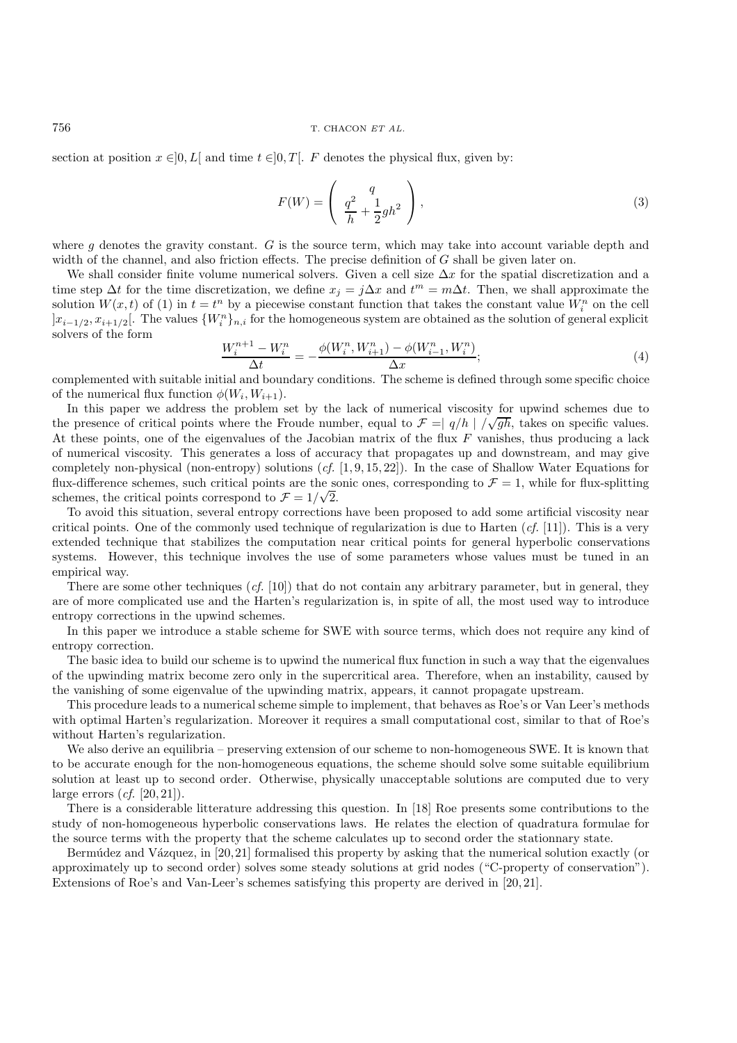section at position  $x \in ]0, L[$  and time  $t \in ]0, T[$ . F denotes the physical flux, given by:

$$
F(W) = \left(\begin{array}{c} q \\ \frac{q^2}{h} + \frac{1}{2}gh^2 \end{array}\right),\tag{3}
$$

where q denotes the gravity constant.  $G$  is the source term, which may take into account variable depth and width of the channel, and also friction effects. The precise definition of  $G$  shall be given later on.

We shall consider finite volume numerical solvers. Given a cell size  $\Delta x$  for the spatial discretization and a time step  $\Delta t$  for the time discretization, we define  $x_j = j\Delta x$  and  $t^m = m\Delta t$ . Then, we shall approximate the solution  $W(x, t)$  of (1) in  $t = t^n$  by a piecewise constant function that takes the constant value  $W^n$  on the solution  $W(x,t)$  of (1) in  $t = t^n$  by a piecewise constant function that takes the constant value  $W_i^n$  on the cell<br>lx,  $\mu$   $\mu$   $\mu$  on the values  $\mu$ <sup>n</sup>  $\mu$ , for the homogeneous system are obtained as the solution of g  $[x_{i-1/2}, x_{i+1/2}]$ . The values  $\{W_i^n\}_{n,i}$  for the homogeneous system are obtained as the solution of general explicit solvers of the form solvers of the form

$$
\frac{W_i^{n+1} - W_i^n}{\Delta t} = -\frac{\phi(W_i^n, W_{i+1}^n) - \phi(W_{i-1}^n, W_i^n)}{\Delta x};
$$
\n(4)\ncomplemented with suitable initial and boundary conditions. The scheme is defined through some specific choice

of the numerical flux function  $\phi(W_i, W_{i+1})$ .

In this paper we address the problem set by the lack of numerical viscosity for upwind schemes due to the presence of critical points where the Froude number, equal to  $\mathcal{F} = |q/h| / \sqrt{gh}$ , takes on specific values.<br>At these points, one of the eigenvalues of the Jacobian matrix of the flux E vanishes, thus producing a lack At these points, one of the eigenvalues of the Jacobian matrix of the flux F vanishes, thus producing a lack of numerical viscosity. This generates a loss of accuracy that propagates up and downstream, and may give completely non-physical (non-entropy) solutions (*cf.* [1, 9, 15, 22]). In the case of Shallow Water Equations for flux-difference schemes, such critical points are the sonic ones, corresponding to  $\mathcal{F} = 1$ , while for flux-splitting mux-difference schemes, such critical points are the set<br>schemes, the critical points correspond to  $\mathcal{F} = 1/\sqrt{2}$ .<br>To avoid this situation, several entropy corrections

To avoid this situation, several entropy corrections have been proposed to add some artificial viscosity near critical points. One of the commonly used technique of regularization is due to Harten (*cf.* [11]). This is a very extended technique that stabilizes the computation near critical points for general hyperbolic conservations systems. However, this technique involves the use of some parameters whose values must be tuned in an empirical way.

There are some other techniques (*cf.* [10]) that do not contain any arbitrary parameter, but in general, they are of more complicated use and the Harten's regularization is, in spite of all, the most used way to introduce entropy corrections in the upwind schemes.

In this paper we introduce a stable scheme for SWE with source terms, which does not require any kind of entropy correction.

The basic idea to build our scheme is to upwind the numerical flux function in such a way that the eigenvalues of the upwinding matrix become zero only in the supercritical area. Therefore, when an instability, caused by the vanishing of some eigenvalue of the upwinding matrix, appears, it cannot propagate upstream.

This procedure leads to a numerical scheme simple to implement, that behaves as Roe's or Van Leer's methods with optimal Harten's regularization. Moreover it requires a small computational cost, similar to that of Roe's without Harten's regularization.

We also derive an equilibria – preserving extension of our scheme to non-homogeneous SWE. It is known that to be accurate enough for the non-homogeneous equations, the scheme should solve some suitable equilibrium solution at least up to second order. Otherwise, physically unacceptable solutions are computed due to very large errors (*cf.* [20, 21]).

There is a considerable litterature addressing this question. In [18] Roe presents some contributions to the study of non-homogeneous hyperbolic conservations laws. He relates the election of quadratura formulae for the source terms with the property that the scheme calculates up to second order the stationnary state.

Berm $\hat{u}$ dez and Vázquez, in [20,21] formalised this property by asking that the numerical solution exactly (or approximately up to second order) solves some steady solutions at grid nodes ("C-property of conservation"). Extensions of Roe's and Van-Leer's schemes satisfying this property are derived in [20, 21].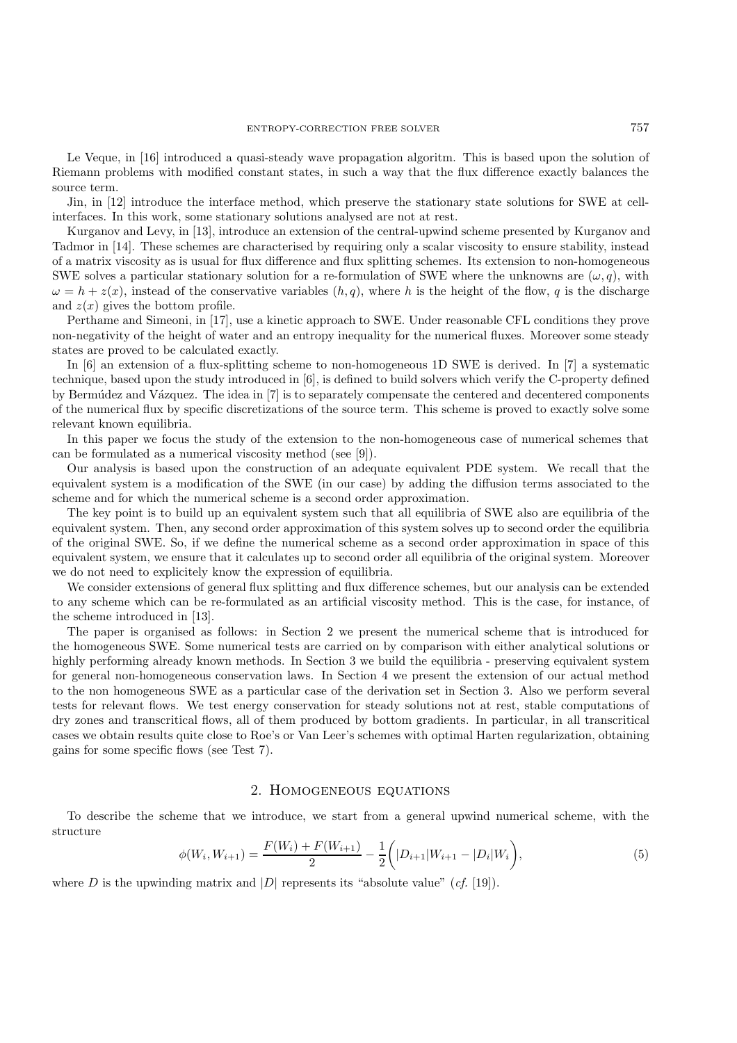Le Veque, in [16] introduced a quasi-steady wave propagation algoritm. This is based upon the solution of Riemann problems with modified constant states, in such a way that the flux difference exactly balances the source term.

Jin, in [12] introduce the interface method, which preserve the stationary state solutions for SWE at cellinterfaces. In this work, some stationary solutions analysed are not at rest.

Kurganov and Levy, in [13], introduce an extension of the central-upwind scheme presented by Kurganov and Tadmor in [14]. These schemes are characterised by requiring only a scalar viscosity to ensure stability, instead of a matrix viscosity as is usual for flux difference and flux splitting schemes. Its extension to non-homogeneous SWE solves a particular stationary solution for a re-formulation of SWE where the unknowns are  $(\omega, q)$ , with  $\omega = h + z(x)$ , instead of the conservative variables  $(h, q)$ , where h is the height of the flow, q is the discharge and  $z(x)$  gives the bottom profile.

Perthame and Simeoni, in [17], use a kinetic approach to SWE. Under reasonable CFL conditions they prove non-negativity of the height of water and an entropy inequality for the numerical fluxes. Moreover some steady states are proved to be calculated exactly.

In [6] an extension of a flux-splitting scheme to non-homogeneous 1D SWE is derived. In [7] a systematic technique, based upon the study introduced in [6], is defined to build solvers which verify the C-property defined by Bermúdez and Vázquez. The idea in [7] is to separately compensate the centered and decentered components of the numerical flux by specific discretizations of the source term. This scheme is proved to exactly solve some relevant known equilibria.

In this paper we focus the study of the extension to the non-homogeneous case of numerical schemes that can be formulated as a numerical viscosity method (see [9]).

Our analysis is based upon the construction of an adequate equivalent PDE system. We recall that the equivalent system is a modification of the SWE (in our case) by adding the diffusion terms associated to the scheme and for which the numerical scheme is a second order approximation.

The key point is to build up an equivalent system such that all equilibria of SWE also are equilibria of the equivalent system. Then, any second order approximation of this system solves up to second order the equilibria of the original SWE. So, if we define the numerical scheme as a second order approximation in space of this equivalent system, we ensure that it calculates up to second order all equilibria of the original system. Moreover we do not need to explicitely know the expression of equilibria.

We consider extensions of general flux splitting and flux difference schemes, but our analysis can be extended to any scheme which can be re-formulated as an artificial viscosity method. This is the case, for instance, of the scheme introduced in [13].

The paper is organised as follows: in Section 2 we present the numerical scheme that is introduced for the homogeneous SWE. Some numerical tests are carried on by comparison with either analytical solutions or highly performing already known methods. In Section 3 we build the equilibria - preserving equivalent system for general non-homogeneous conservation laws. In Section 4 we present the extension of our actual method to the non homogeneous SWE as a particular case of the derivation set in Section 3. Also we perform several tests for relevant flows. We test energy conservation for steady solutions not at rest, stable computations of dry zones and transcritical flows, all of them produced by bottom gradients. In particular, in all transcritical cases we obtain results quite close to Roe's or Van Leer's schemes with optimal Harten regularization, obtaining gains for some specific flows (see Test 7).

#### 2. Homogeneous equations

To describe the scheme that we introduce, we start from a general upwind numerical scheme, with the structure

$$
\phi(W_i, W_{i+1}) = \frac{F(W_i) + F(W_{i+1})}{2} - \frac{1}{2} \left( |D_{i+1}| W_{i+1} - |D_i| W_i \right),\tag{5}
$$

where D is the upwinding matrix and  $|D|$  represents its "absolute value" (*cf.* [19]).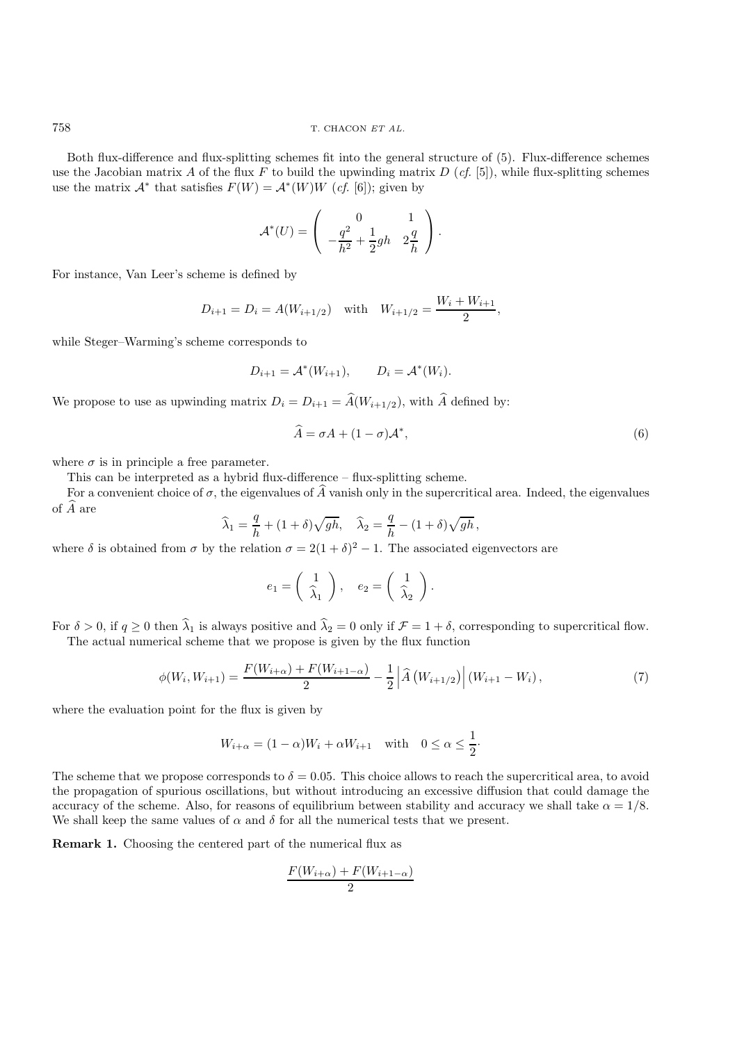Both flux-difference and flux-splitting schemes fit into the general structure of (5). Flux-difference schemes use the Jacobian matrix A of the flux F to build the upwinding matrix D ( $cf.$  [5]), while flux-splitting schemes use the matrix  $\mathcal{A}^*$  that satisfies  $F(W) = \mathcal{A}^*(W)W$  (*cf.* [6]); given by

$$
\mathcal{A}^*(U) = \left( \begin{array}{cc} 0 & 1 \\ -\frac{q^2}{h^2} + \frac{1}{2}gh & 2\frac{q}{h} \end{array} \right).
$$

For instance, Van Leer's scheme is defined by

$$
D_{i+1} = D_i = A(W_{i+1/2})
$$
 with  $W_{i+1/2} = \frac{W_i + W_{i+1}}{2}$ ,

while Steger–Warming's scheme corresponds to

$$
D_{i+1} = \mathcal{A}^*(W_{i+1}), \qquad D_i = \mathcal{A}^*(W_i).
$$

We propose to use as upwinding matrix  $D_i = D_{i+1} = \hat{A}(W_{i+1/2})$ , with  $\hat{A}$  defined by:

$$
\widehat{A} = \sigma A + (1 - \sigma) \mathcal{A}^*,\tag{6}
$$

where  $\sigma$  is in principle a free parameter.

This can be interpreted as a hybrid flux-difference – flux-splitting scheme.

For a convenient choice of  $\sigma$ , the eigenvalues of  $\widehat{A}$  vanish only in the supercritical area. Indeed, the eigenvalues of  $\widehat{A}$  are

$$
\widehat{\lambda}_1 = \frac{q}{h} + (1+\delta)\sqrt{gh}, \quad \widehat{\lambda}_2 = \frac{q}{h} - (1+\delta)\sqrt{gh},
$$
  
the relation  $\sigma = 2(1+\delta)^2 - 1$ . The associated of

where  $\delta$  is obtained from  $\sigma$  by the relation  $\sigma = 2(1+\delta)^2 - 1$ . The associated eigenvectors are

$$
e_1 = \left(\begin{array}{c} 1 \\ \widehat{\lambda}_1 \end{array}\right), \quad e_2 = \left(\begin{array}{c} 1 \\ \widehat{\lambda}_2 \end{array}\right).
$$

For  $\delta > 0$ , if  $q \ge 0$  then  $\widehat{\lambda}_1$  is always positive and  $\widehat{\lambda}_2 = 0$  only if  $\mathcal{F} = 1 + \delta$ , corresponding to supercritical flow. The actual numerical scheme that we propose is given by the flux function

$$
\phi(W_i, W_{i+1}) = \frac{F(W_{i+\alpha}) + F(W_{i+1-\alpha})}{2} - \frac{1}{2} \left| \widehat{A}(W_{i+1/2}) \right| (W_{i+1} - W_i), \tag{7}
$$

where the evaluation point for the flux is given by

$$
W_{i+\alpha} = (1-\alpha)W_i + \alpha W_{i+1} \quad \text{with} \quad 0 \le \alpha \le \frac{1}{2}.
$$

The scheme that we propose corresponds to  $\delta = 0.05$ . This choice allows to reach the supercritical area, to avoid the propagation of spurious oscillations, but without introducing an excessive diffusion that could damage the accuracy of the scheme. Also, for reasons of equilibrium between stability and accuracy we shall take  $\alpha = 1/8$ . We shall keep the same values of  $\alpha$  and  $\delta$  for all the numerical tests that we present.

**Remark 1.** Choosing the centered part of the numerical flux as

$$
\frac{F(W_{i+\alpha}) + F(W_{i+1-\alpha})}{2}
$$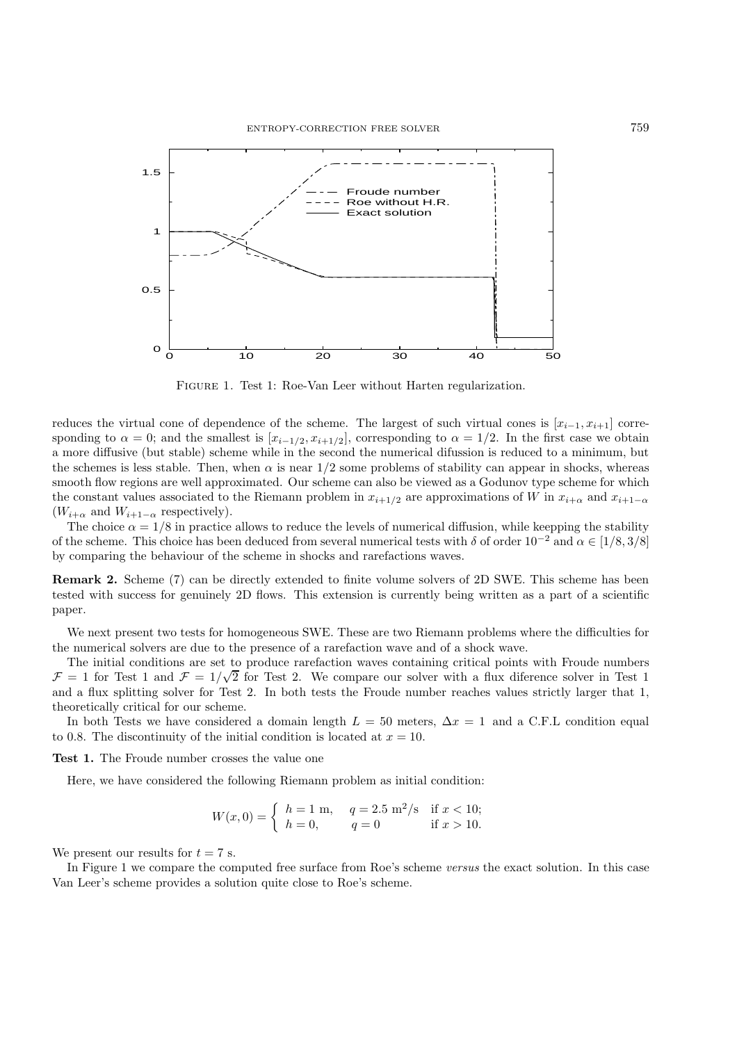

FIGURE 1. Test 1: Roe-Van Leer without Harten regularization.

reduces the virtual cone of dependence of the scheme. The largest of such virtual cones is  $[x_{i-1}, x_{i+1}]$  corresponding to  $\alpha = 0$ ; and the smallest is  $[x_{i-1/2}, x_{i+1/2}]$ , corresponding to  $\alpha = 1/2$ . In the first case we obtain a more diffusive (but stable) scheme while in the second the numerical difussion is reduced to a minimum, but the schemes is less stable. Then, when  $\alpha$  is near  $1/2$  some problems of stability can appear in shocks, whereas smooth flow regions are well approximated. Our scheme can also be viewed as a Godunov type scheme for which the constant values associated to the Riemann problem in  $x_{i+1/2}$  are approximations of W in  $x_{i+\alpha}$  and  $x_{i+1-\alpha}$  $(W_{i+\alpha} \text{ and } W_{i+1-\alpha} \text{ respectively}).$ 

The choice  $\alpha = 1/8$  in practice allows to reduce the levels of numerical diffusion, while keepping the stability of the scheme. This choice has been deduced from several numerical tests with  $\delta$  of order  $10^{-2}$  and  $\alpha \in [1/8, 3/8]$ by comparing the behaviour of the scheme in shocks and rarefactions waves.

**Remark 2.** Scheme (7) can be directly extended to finite volume solvers of 2D SWE. This scheme has been tested with success for genuinely 2D flows. This extension is currently being written as a part of a scientific paper.

We next present two tests for homogeneous SWE. These are two Riemann problems where the difficulties for the numerical solvers are due to the presence of a rarefaction wave and of a shock wave.

The initial conditions are set to produce rarefaction waves containing critical points with Froude numbers  $\mathcal{F} = 1$  for Test 1 and  $\mathcal{F} = 1/\sqrt{2}$  for Test 2. We compare our solver with a flux diference solver in Test 1 and a flux splitting solver for Test 2. In both tests the Froude number reaches values strictly larger that 1, theoretically critical for our scheme.

In both Tests we have considered a domain length  $L = 50$  meters,  $\Delta x = 1$  and a C.F.L condition equal to 0.8. The discontinuity of the initial condition is located at  $x = 10$ .

**Test 1.** The Froude number crosses the value one

Here, we have considered the following Riemann problem as initial condition:

$$
W(x,0) = \begin{cases} h = 1 \text{ m}, & q = 2.5 \text{ m}^2/\text{s} \text{ if } x < 10; \\ h = 0, & q = 0 \text{ if } x > 10. \end{cases}
$$

We present our results for  $t = 7$  s.

In Figure 1 we compare the computed free surface from Roe's scheme *versus* the exact solution. In this case Van Leer's scheme provides a solution quite close to Roe's scheme.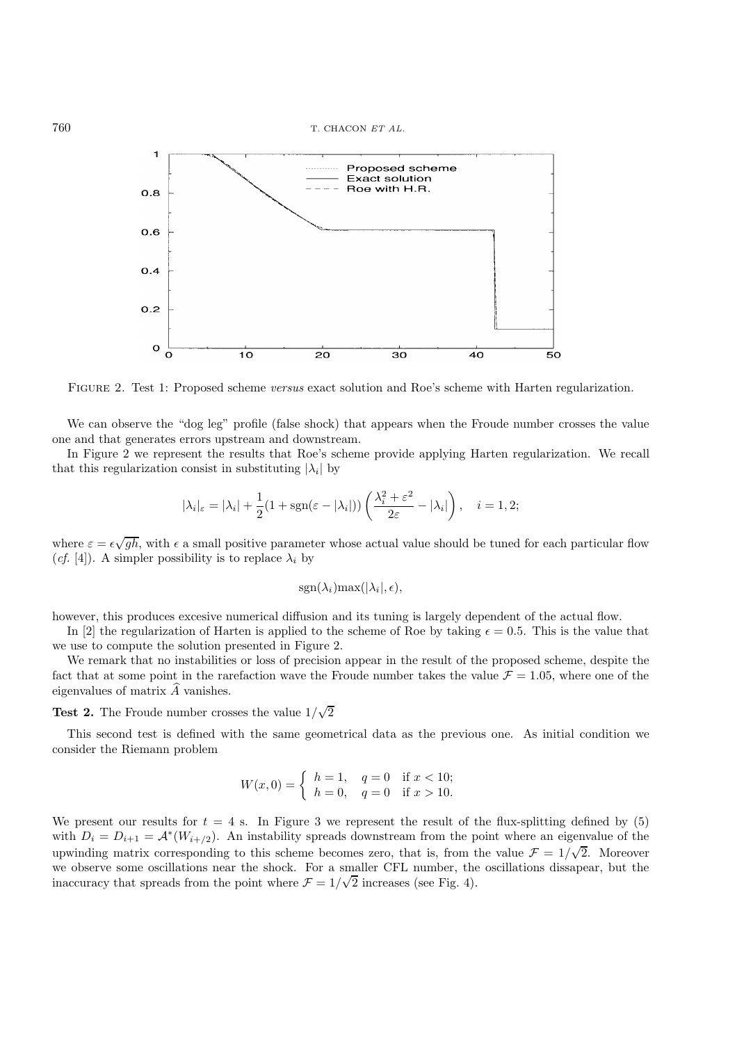#### 760 T. CHACON ET AL.



Figure 2. Test 1: Proposed scheme *versus* exact solution and Roe's scheme with Harten regularization.

We can observe the "dog leg" profile (false shock) that appears when the Froude number crosses the value one and that generates errors upstream and downstream.

In Figure 2 we represent the results that Roe's scheme provide applying Harten regularization. We recall that this regularization consist in substituting  $|\lambda_i|$  by

$$
|\lambda_i|_{\varepsilon} = |\lambda_i| + \frac{1}{2} (1 + \text{sgn}(\varepsilon - |\lambda_i|)) \left( \frac{\lambda_i^2 + \varepsilon^2}{2\varepsilon} - |\lambda_i| \right), \quad i = 1, 2;
$$

where  $\varepsilon = \epsilon \sqrt{gh}$ , with  $\epsilon$  a small positive parameter whose actual value should be tuned for each particular flow  $(cf | A)$ . (*cf.* [4]). A simpler possibility is to replace  $\lambda_i$  by

$$
sgn(\lambda_i) \max(|\lambda_i|, \epsilon),
$$

however, this produces excesive numerical diffusion and its tuning is largely dependent of the actual flow.

In [2] the regularization of Harten is applied to the scheme of Roe by taking  $\epsilon = 0.5$ . This is the value that we use to compute the solution presented in Figure 2.

We remark that no instabilities or loss of precision appear in the result of the proposed scheme, despite the fact that at some point in the rarefaction wave the Froude number takes the value  $\mathcal{F} = 1.05$ , where one of the eigenvalues of matrix  $\widehat{A}$  vanishes.

# **Test 2.** The Froude number crosses the value  $1/\sqrt{2}$

This second test is defined with the same geometrical data as the previous one. As initial condition we consider the Riemann problem

$$
W(x,0) = \begin{cases} h = 1, & q = 0 \text{ if } x < 10; \\ h = 0, & q = 0 \text{ if } x > 10. \end{cases}
$$

We present our results for  $t = 4$  s. In Figure 3 we represent the result of the flux-splitting defined by (5) with  $D_i = D_{i+1} = A^*(W_{i+2})$ . An instability spreads downstream from the point where an eigenvalue of the upwinding matrix corresponding to this scheme becomes zero, that is, from the value  $\mathcal{F} = 1/\sqrt{2}$ . Moreover<br>we observe some oscillations near the shock. For a smaller CEL number, the oscillations dissapear, but the we observe some oscillations near the shock. For a smaller CFL number, the oscillations dissapear, but the inaccuracy that spreads from the point where  $\mathcal{F} = 1/\sqrt{2}$  increases (see Fig. 4).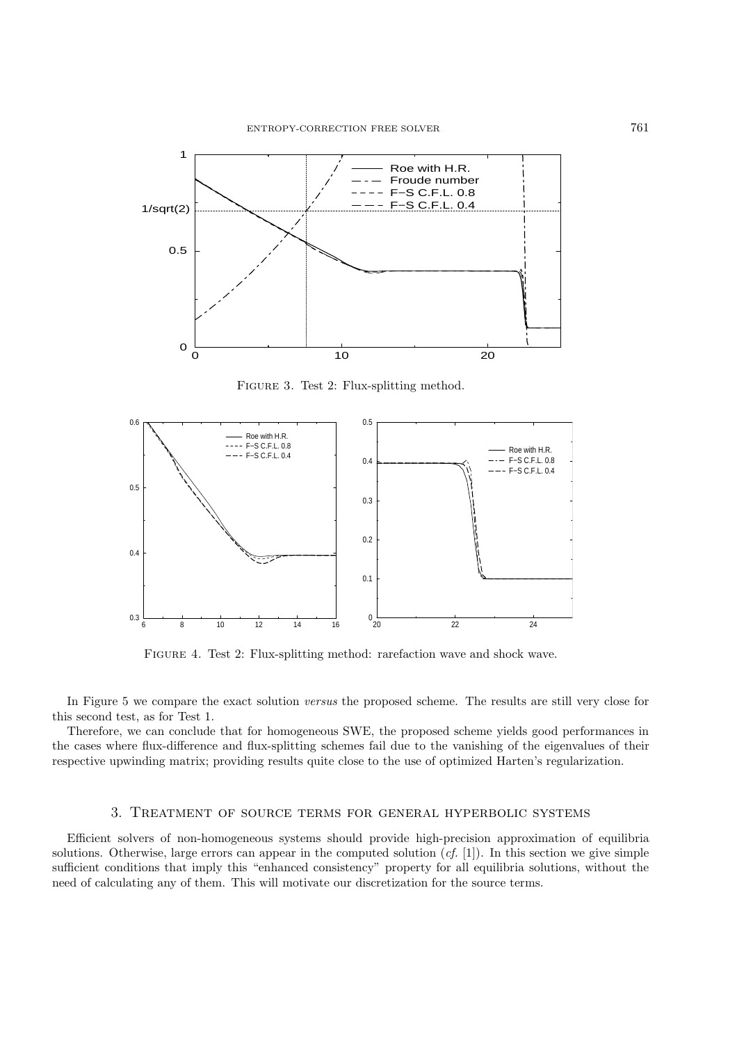

Figure 3. Test 2: Flux-splitting method.



Figure 4. Test 2: Flux-splitting method: rarefaction wave and shock wave.

In Figure 5 we compare the exact solution *versus* the proposed scheme. The results are still very close for this second test, as for Test 1.

Therefore, we can conclude that for homogeneous SWE, the proposed scheme yields good performances in the cases where flux-difference and flux-splitting schemes fail due to the vanishing of the eigenvalues of their respective upwinding matrix; providing results quite close to the use of optimized Harten's regularization.

#### 3. Treatment of source terms for general hyperbolic systems

Efficient solvers of non-homogeneous systems should provide high-precision approximation of equilibria solutions. Otherwise, large errors can appear in the computed solution (*cf.* [1]). In this section we give simple sufficient conditions that imply this "enhanced consistency" property for all equilibria solutions, without the need of calculating any of them. This will motivate our discretization for the source terms.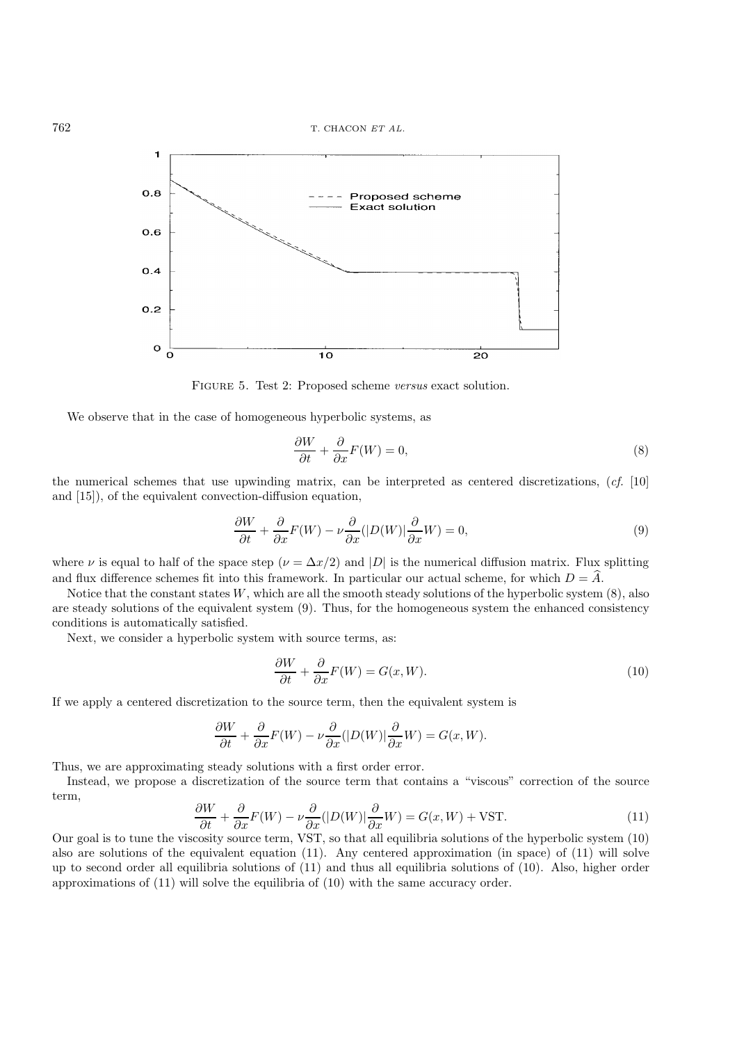

Figure 5. Test 2: Proposed scheme *versus* exact solution.

We observe that in the case of homogeneous hyperbolic systems, as

$$
\frac{\partial W}{\partial t} + \frac{\partial}{\partial x} F(W) = 0,\tag{8}
$$

the numerical schemes that use upwinding matrix, can be interpreted as centered discretizations, (*cf.* [10] and [15]), of the equivalent convection-diffusion equation,

$$
\frac{\partial W}{\partial t} + \frac{\partial}{\partial x} F(W) - \nu \frac{\partial}{\partial x} (|D(W)| \frac{\partial}{\partial x} W) = 0,
$$
\n(9)

where  $\nu$  is equal to half of the space step ( $\nu = \Delta x/2$ ) and |D| is the numerical diffusion matrix. Flux splitting and flux difference schemes fit into this framework. In particular our actual scheme, for which  $D = \hat{A}$ .

Notice that the constant states  $W$ , which are all the smooth steady solutions of the hyperbolic system  $(8)$ , also are steady solutions of the equivalent system (9). Thus, for the homogeneous system the enhanced consistency conditions is automatically satisfied.

Next, we consider a hyperbolic system with source terms, as:

$$
\frac{\partial W}{\partial t} + \frac{\partial}{\partial x} F(W) = G(x, W). \tag{10}
$$

If we apply a centered discretization to the source term, then the equivalent system is

$$
\frac{\partial W}{\partial t} + \frac{\partial}{\partial x} F(W) - \nu \frac{\partial}{\partial x} (|D(W)| \frac{\partial}{\partial x} W) = G(x, W).
$$

Thus, we are approximating steady solutions with a first order error.

Instead, we propose a discretization of the source term that contains a "viscous" correction of the source term,

$$
\frac{\partial W}{\partial t} + \frac{\partial}{\partial x} F(W) - \nu \frac{\partial}{\partial x} (|D(W)| \frac{\partial}{\partial x} W) = G(x, W) + \text{VST.} \tag{11}
$$
\nOur goal is to tune the viscosity source term, VST, so that all equilibria solutions of the hyperbolic system (10)

also are solutions of the equivalent equation (11). Any centered approximation (in space) of (11) will solve up to second order all equilibria solutions of (11) and thus all equilibria solutions of (10). Also, higher order approximations of  $(11)$  will solve the equilibria of  $(10)$  with the same accuracy order.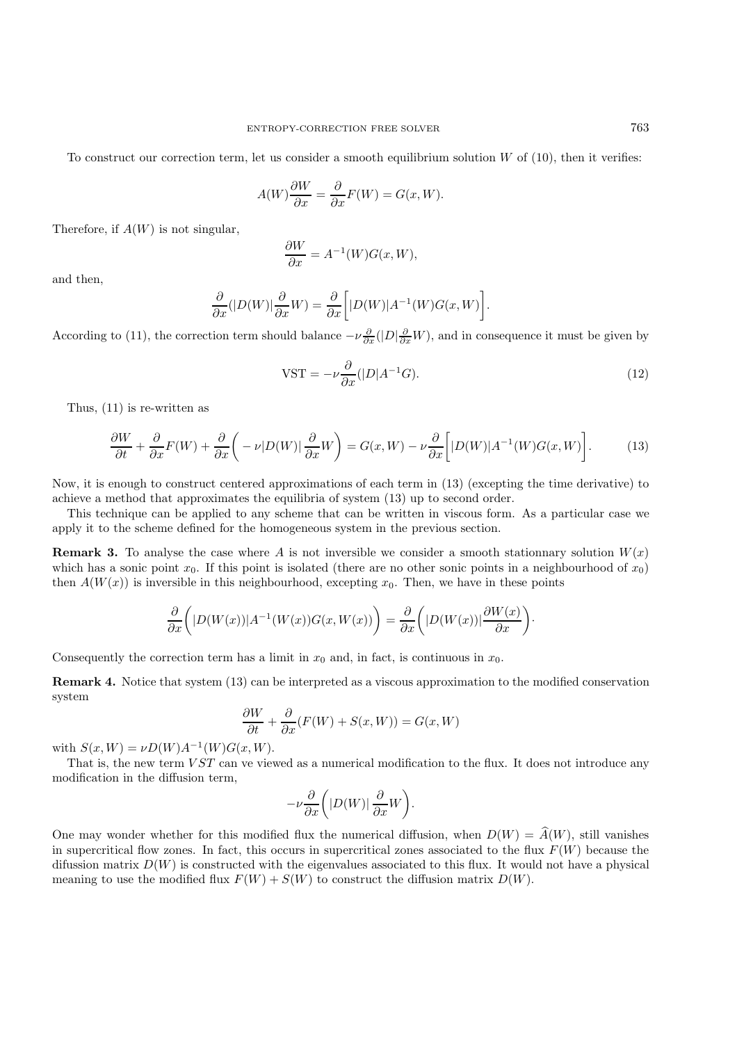To construct our correction term, let us consider a smooth equilibrium solution  $W$  of  $(10)$ , then it verifies:

$$
A(W)\frac{\partial W}{\partial x} = \frac{\partial}{\partial x}F(W) = G(x, W).
$$

Therefore, if  $A(W)$  is not singular,

$$
\frac{\partial W}{\partial x} = A^{-1}(W)G(x, W),
$$

and then,

$$
\frac{\partial}{\partial x}(|D(W)|\frac{\partial}{\partial x}W) = \frac{\partial}{\partial x}\bigg[|D(W)|A^{-1}(W)G(x,W)\bigg].
$$

According to (11), the correction term should balance  $-\nu \frac{\partial}{\partial x}(|D|\frac{\partial}{\partial x}W)$ , and in consequence it must be given by

$$
VST = -\nu \frac{\partial}{\partial x} (|D|A^{-1}G). \tag{12}
$$

Thus, (11) is re-written as

$$
\frac{\partial W}{\partial t} + \frac{\partial}{\partial x} F(W) + \frac{\partial}{\partial x} \left( -\nu |D(W)| \frac{\partial}{\partial x} W \right) = G(x, W) - \nu \frac{\partial}{\partial x} \left[ |D(W)| A^{-1}(W) G(x, W) \right]. \tag{13}
$$

Now, it is enough to construct centered approximations of each term in (13) (excepting the time derivative) to achieve a method that approximates the equilibria of system (13) up to second order.

This technique can be applied to any scheme that can be written in viscous form. As a particular case we apply it to the scheme defined for the homogeneous system in the previous section.

**Remark 3.** To analyse the case where A is not inversible we consider a smooth stationnary solution  $W(x)$ which has a sonic point  $x_0$ . If this point is isolated (there are no other sonic points in a neighbourhood of  $x_0$ ) then  $A(W(x))$  is inversible in this neighbourhood, excepting  $x<sub>0</sub>$ . Then, we have in these points

$$
\frac{\partial}{\partial x}\bigg(|D(W(x))|A^{-1}(W(x))G(x,W(x))\bigg)=\frac{\partial}{\partial x}\bigg(|D(W(x))|\frac{\partial W(x)}{\partial x}\bigg).
$$

Consequently the correction term has a limit in  $x_0$  and, in fact, is continuous in  $x_0$ .

**Remark 4.** Notice that system (13) can be interpreted as a viscous approximation to the modified conservation system

$$
\frac{\partial W}{\partial t} + \frac{\partial}{\partial x}(F(W) + S(x, W)) = G(x, W)
$$

with  $S(x, W) = \nu D(W) A^{-1}(W) G(x, W)$ .<br>That is the new term  $VST$  can ve view

That is, the new term VST can ve viewed as a numerical modification to the flux. It does not introduce any modification in the diffusion term,

$$
-\nu\frac{\partial}{\partial x}\bigg(|D(W)|\frac{\partial}{\partial x}W\bigg).
$$

One may wonder whether for this modified flux the numerical diffusion, when  $D(W) = \hat{A}(W)$ , still vanishes in supercritical flow zones. In fact, this occurs in supercritical zones associated to the flux  $F(W)$  because the difussion matrix  $D(W)$  is constructed with the eigenvalues associated to this flux. It would not have a physical meaning to use the modified flux  $F(W) + S(W)$  to construct the diffusion matrix  $D(W)$ .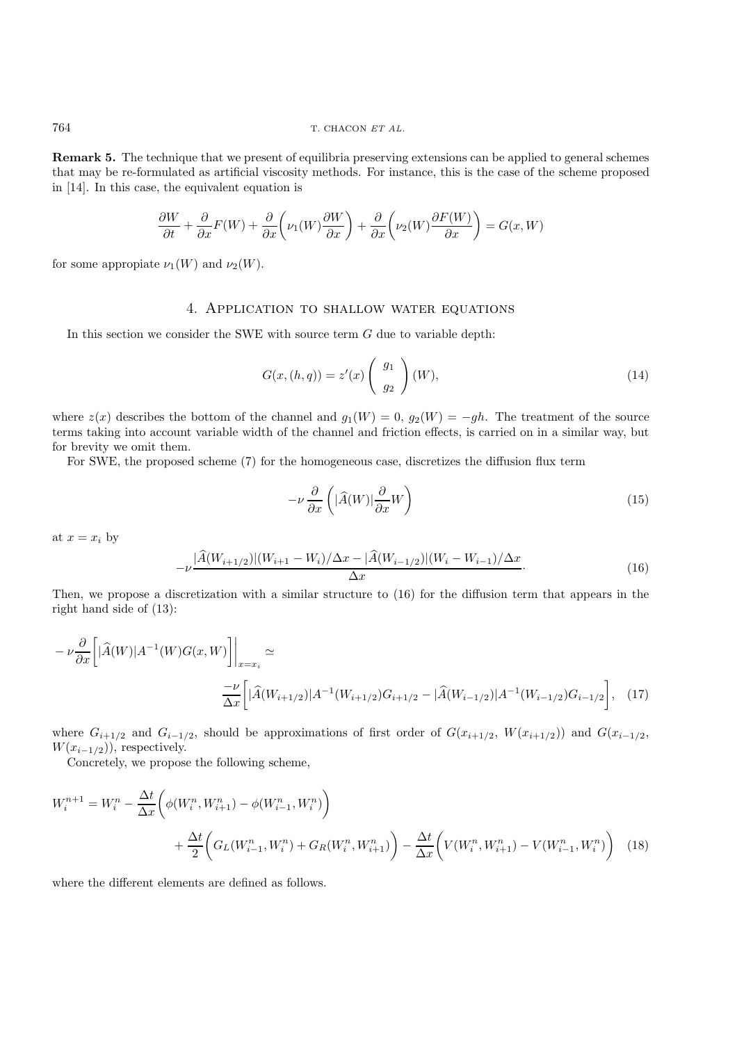**Remark 5.** The technique that we present of equilibria preserving extensions can be applied to general schemes that may be re-formulated as artificial viscosity methods. For instance, this is the case of the scheme proposed in [14]. In this case, the equivalent equation is

$$
\frac{\partial W}{\partial t} + \frac{\partial}{\partial x} F(W) + \frac{\partial}{\partial x} \left( \nu_1(W) \frac{\partial W}{\partial x} \right) + \frac{\partial}{\partial x} \left( \nu_2(W) \frac{\partial F(W)}{\partial x} \right) = G(x, W)
$$

for some appropiate  $\nu_1(W)$  and  $\nu_2(W)$ .

### 4. Application to shallow water equations

In this section we consider the SWE with source term  $G$  due to variable depth:

$$
G(x,(h,q)) = z'(x) \left( \begin{array}{c} g_1 \\ g_2 \end{array} \right) (W), \tag{14}
$$

where  $z(x)$  describes the bottom of the channel and  $g_1(W) = 0$ ,  $g_2(W) = -gh$ . The treatment of the source terms taking into account variable width of the channel and friction effects, is carried on in a similar way, but for brevity we omit them.

For SWE, the proposed scheme (7) for the homogeneous case, discretizes the diffusion flux term

$$
-\nu \frac{\partial}{\partial x} \left( |\widehat{A}(W)| \frac{\partial}{\partial x} W \right) \tag{15}
$$

at  $x = x_i$  by

$$
-\nu \frac{|\widehat{A}(W_{i+1/2})|(W_{i+1}-W_i)/\Delta x - |\widehat{A}(W_{i-1/2})|(W_i-W_{i-1})/\Delta x}{\Delta x}.
$$
 (16)  
Then, we propose a discretization with a similar structure to (16) for the diffusion term that appears in the

right hand side of (13):

$$
-\nu \frac{\partial}{\partial x} \left[ |\widehat{A}(W)| A^{-1}(W) G(x, W) \right] \Big|_{x=x_i} \simeq
$$
  

$$
\frac{-\nu}{\Delta x} \left[ |\widehat{A}(W_{i+1/2})| A^{-1}(W_{i+1/2}) G_{i+1/2} - |\widehat{A}(W_{i-1/2})| A^{-1}(W_{i-1/2}) G_{i-1/2} \right], \quad (17)
$$

where  $G_{i+1/2}$  and  $G_{i-1/2}$ , should be approximations of first order of  $G(x_{i+1/2}, W(x_{i+1/2}))$  and  $G(x_{i-1/2}, W(x_{i+1/2}))$  $W(x_{i-1/2})$ , respectively.

Concretely, we propose the following scheme,

$$
W_i^{n+1} = W_i^n - \frac{\Delta t}{\Delta x} \left( \phi(W_i^n, W_{i+1}^n) - \phi(W_{i-1}^n, W_i^n) \right)
$$
  
+ 
$$
\frac{\Delta t}{2} \left( G_L(W_{i-1}^n, W_i^n) + G_R(W_i^n, W_{i+1}^n) \right) - \frac{\Delta t}{\Delta x} \left( V(W_i^n, W_{i+1}^n) - V(W_{i-1}^n, W_i^n) \right) \tag{18}
$$

where the different elements are defined as follows.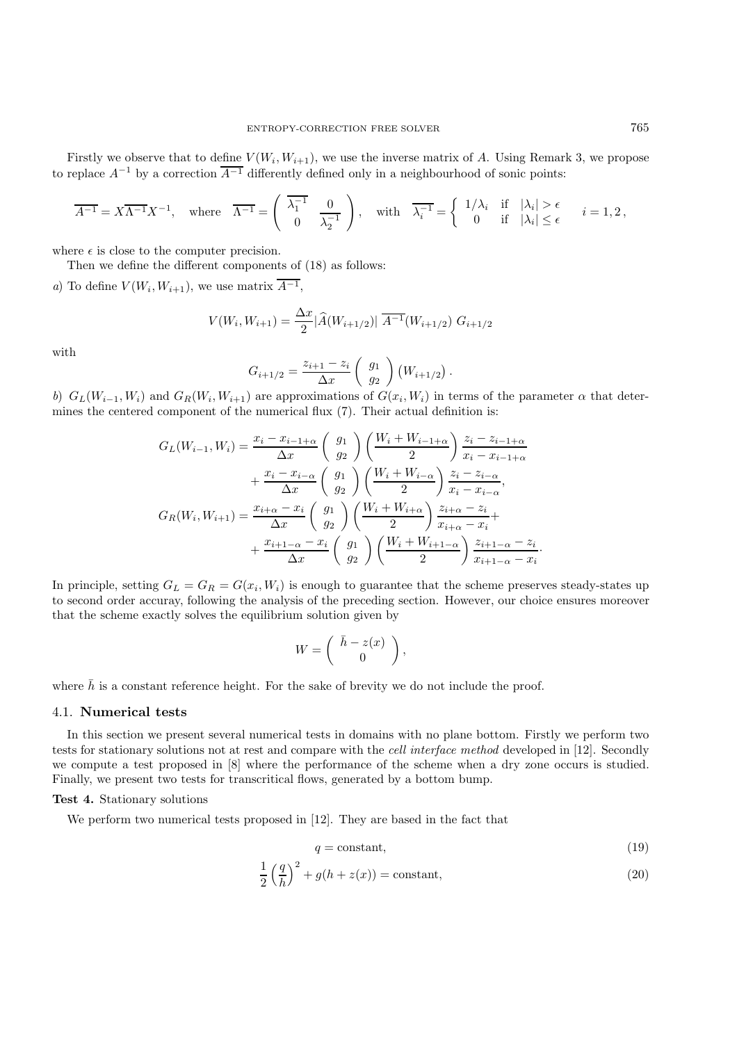Firstly we observe that to define  $V(W_i, W_{i+1})$ , we use the inverse matrix of A. Using Remark 3, we propose to replace  $A^{-1}$  by a correction  $\overline{A^{-1}}$  differently defined only in a neighbourhood of sonic points:

$$
\overline{A^{-1}} = X\overline{\Lambda^{-1}}X^{-1}, \text{ where } \overline{\Lambda^{-1}} = \begin{pmatrix} \overline{\lambda_1^{-1}} & 0 \\ 0 & \overline{\lambda_2^{-1}} \end{pmatrix}, \text{ with } \overline{\lambda_i^{-1}} = \begin{cases} 1/\lambda_i & \text{if } |\lambda_i| > \epsilon \\ 0 & \text{if } |\lambda_i| \le \epsilon \end{cases} \quad i = 1, 2,
$$

where  $\epsilon$  is close to the computer precision.

Then we define the different components of (18) as follows:

*a*) To define  $V(W_i, W_{i+1})$ , we use matrix  $\overline{A^{-1}}$ ,

$$
V(W_i, W_{i+1}) = \frac{\Delta x}{2} |\widehat{A}(W_{i+1/2})| \overline{A^{-1}}(W_{i+1/2}) G_{i+1/2}
$$

with

$$
G_{i+1/2} = \frac{z_{i+1} - z_i}{\Delta x} \begin{pmatrix} g_1 \\ g_2 \end{pmatrix} \begin{pmatrix} W_{i+1/2} \end{pmatrix}.
$$

 $\Delta x$   $\langle g_2 \rangle$   $\langle W_{i+1/2} \rangle$ <br> *b*)  $G_L(W_{i-1}, W_i)$  and  $G_R(W_i, W_{i+1})$  are approximations of  $G(x_i, W_i)$  in terms of the parameter  $\alpha$  that deter-<br>
mines the centered component of the numerical flux (7). Their actual definit mines the centered component of the numerical flux (7). Their actual definition is:

$$
G_{L}(W_{i-1}, W_{i}) = \frac{x_{i} - x_{i-1+\alpha}}{\Delta x} \left(\begin{array}{c} g_{1} \\ g_{2} \end{array}\right) \left(\frac{W_{i} + W_{i-1+\alpha}}{2}\right) \frac{z_{i} - z_{i-1+\alpha}}{x_{i} - x_{i-1+\alpha}}
$$

$$
+ \frac{x_{i} - x_{i-\alpha}}{\Delta x} \left(\begin{array}{c} g_{1} \\ g_{2} \end{array}\right) \left(\frac{W_{i} + W_{i-\alpha}}{2}\right) \frac{z_{i} - z_{i-\alpha}}{x_{i} - x_{i-\alpha}},
$$

$$
G_{R}(W_{i}, W_{i+1}) = \frac{x_{i+\alpha} - x_{i}}{\Delta x} \left(\begin{array}{c} g_{1} \\ g_{2} \end{array}\right) \left(\frac{W_{i} + W_{i+\alpha}}{2}\right) \frac{z_{i+\alpha} - z_{i}}{x_{i+\alpha} - x_{i}} +
$$

$$
+ \frac{x_{i+1-\alpha} - x_{i}}{\Delta x} \left(\begin{array}{c} g_{1} \\ g_{2} \end{array}\right) \left(\frac{W_{i} + W_{i+1-\alpha}}{2}\right) \frac{z_{i+1-\alpha} - z_{i}}{x_{i+1-\alpha} - x_{i}}
$$

In principle, setting  $G_L = G_R = G(x_i, W_i)$  is enough to guarantee that the scheme preserves steady-states up to second order accuray, following the analysis of the preceding section. However, our choice ensures moreover that the scheme exactly solves the equilibrium solution given by

$$
W = \left( \begin{array}{c} \bar{h} - z(x) \\ 0 \end{array} \right),
$$

where  $\bar{h}$  is a constant reference height. For the sake of brevity we do not include the proof.

#### 4.1. **Numerical tests**

In this section we present several numerical tests in domains with no plane bottom. Firstly we perform two tests for stationary solutions not at rest and compare with the *cell interface method* developed in [12]. Secondly we compute a test proposed in [8] where the performance of the scheme when a dry zone occurs is studied. Finally, we present two tests for transcritical flows, generated by a bottom bump.

#### **Test 4.** Stationary solutions

We perform two numerical tests proposed in [12]. They are based in the fact that

$$
q = \text{constant},\tag{19}
$$

·

$$
\frac{1}{2}\left(\frac{q}{h}\right)^2 + g(h+z(x)) = \text{constant},\tag{20}
$$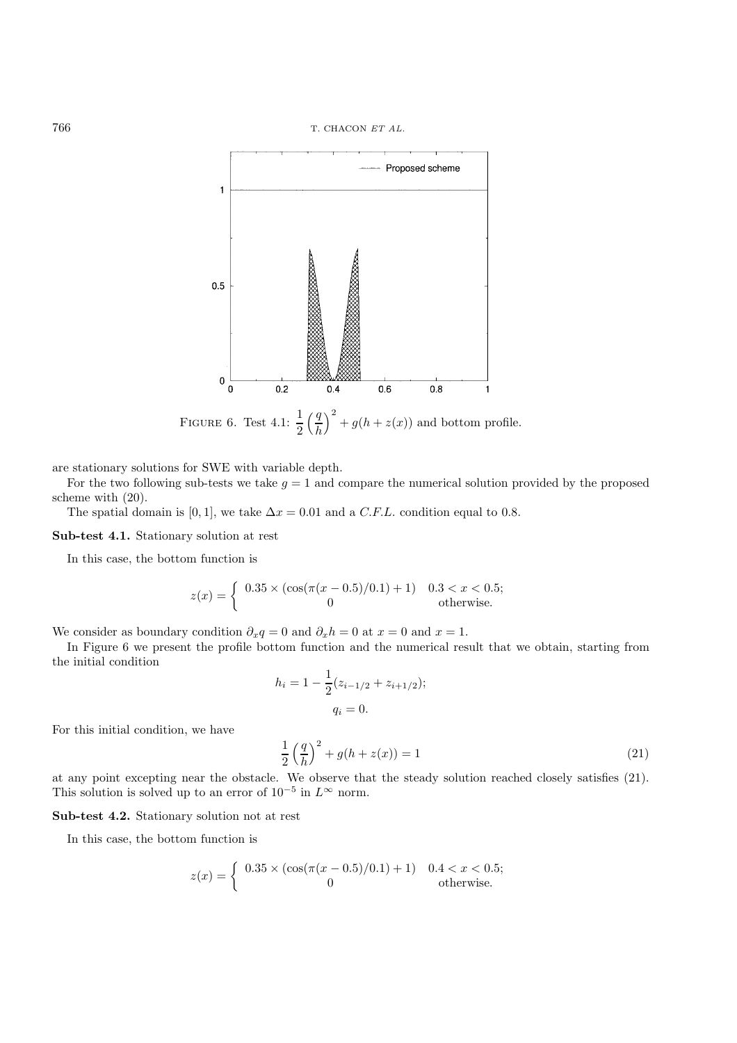

are stationary solutions for SWE with variable depth.

For the two following sub-tests we take  $g = 1$  and compare the numerical solution provided by the proposed scheme with (20).

The spatial domain is [0, 1], we take  $\Delta x = 0.01$  and a C.F.L. condition equal to 0.8.

**Sub-test 4.1.** Stationary solution at rest

In this case, the bottom function is

$$
z(x) = \begin{cases} 0.35 \times (\cos(\pi(x - 0.5)/0.1) + 1) & 0.3 < x < 0.5; \\ 0 & \text{otherwise.} \end{cases}
$$

We consider as boundary condition  $\partial_x q = 0$  and  $\partial_x h = 0$  at  $x = 0$  and  $x = 1$ .

In Figure 6 we present the profile bottom function and the numerical result that we obtain, starting from the initial condition

$$
h_i = 1 - \frac{1}{2} (z_{i-1/2} + z_{i+1/2});
$$
  

$$
q_i = 0.
$$

For this initial condition, we have

$$
\frac{1}{2}\left(\frac{q}{h}\right)^2 + g(h+z(x)) = 1\tag{21}
$$

at any point excepting near the obstacle. We observe that the steady solution reached closely satisfies (21). This solution is solved up to an error of  $10^{-5}$  in  $L^{\infty}$  norm.

**Sub-test 4.2.** Stationary solution not at rest

In this case, the bottom function is

$$
z(x) = \begin{cases} 0.35 \times (\cos(\pi(x - 0.5)/0.1) + 1) & 0.4 < x < 0.5; \\ 0 & \text{otherwise.} \end{cases}
$$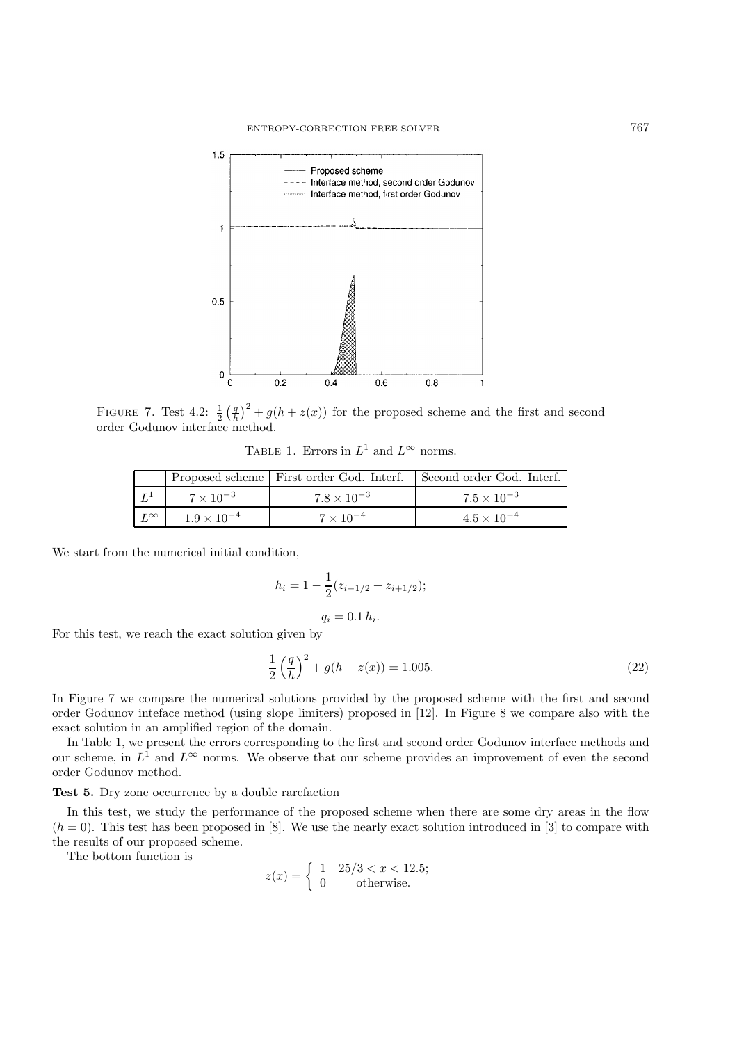

FIGURE 7. Test 4.2:  $\frac{1}{2}(\frac{q}{h})^2 + g(h + z(x))$  for the proposed scheme and the first and second order Godunov interface method.

TABLE 1. Errors in  $L^1$  and  $L^{\infty}$  norms.

|                      |                      | Proposed scheme   First order God. Interf.   Second order God. Interf. |
|----------------------|----------------------|------------------------------------------------------------------------|
| $7 \times 10^{-3}$   | $7.8 \times 10^{-3}$ | $7.5 \times 10^{-3}$                                                   |
| $1.9 \times 10^{-4}$ | $7 \times 10^{-4}$   | $4.5 \times 10^{-4}$                                                   |

We start from the numerical initial condition,

$$
h_i = 1 - \frac{1}{2} (z_{i-1/2} + z_{i+1/2});
$$
  

$$
q_i = 0.1 h_i.
$$

For this test, we reach the exact solution given by

$$
\frac{1}{2}\left(\frac{q}{h}\right)^2 + g(h+z(x)) = 1.005.
$$
\n(22)

In Figure 7 we compare the numerical solutions provided by the proposed scheme with the first and second order Godunov inteface method (using slope limiters) proposed in [12]. In Figure 8 we compare also with the exact solution in an amplified region of the domain.

In Table 1, we present the errors corresponding to the first and second order Godunov interface methods and our scheme, in  $L^1$  and  $L^{\infty}$  norms. We observe that our scheme provides an improvement of even the second order Godunov method.

**Test 5.** Dry zone occurrence by a double rarefaction

In this test, we study the performance of the proposed scheme when there are some dry areas in the flow  $(h = 0)$ . This test has been proposed in [8]. We use the nearly exact solution introduced in [3] to compare with the results of our proposed scheme.

The bottom function is

$$
z(x) = \begin{cases} 1 & 25/3 < x < 12.5; \\ 0 & \text{otherwise.} \end{cases}
$$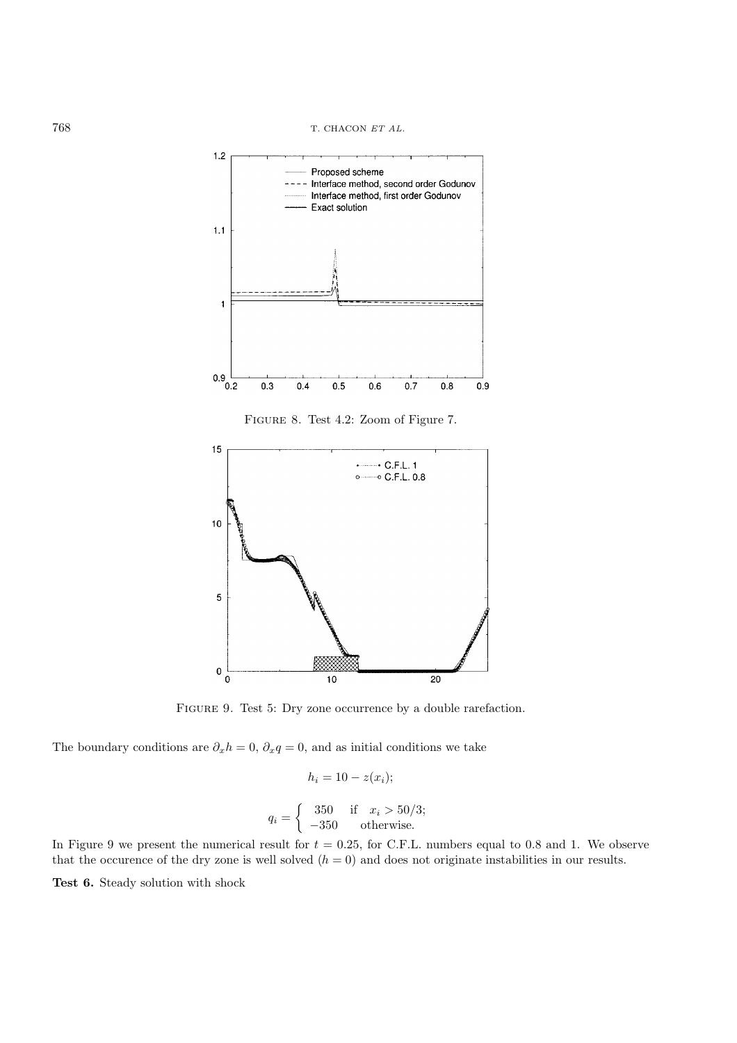768 T. CHACON ET AL.



Figure 8. Test 4.2: Zoom of Figure 7.



FIGURE 9. Test 5: Dry zone occurrence by a double rarefaction.

The boundary conditions are  $\partial_x h = 0$ ,  $\partial_x q = 0$ , and as initial conditions we take

$$
h_i = 10 - z(x_i);
$$

$$
q_i = \begin{cases} 350 & \text{if } x_i > 50/3; \\ -350 & \text{otherwise.} \end{cases}
$$

In Figure 9 we present the numerical result for  $t = 0.25$ , for C.F.L. numbers equal to 0.8 and 1. We observe<br>that the occurence of the dry zone is well solved  $(b - 0)$  and does not originate instabilities in our results that the occurence of the dry zone is well solved  $(h = 0)$  and does not originate instabilities in our results.

**Test 6.** Steady solution with shock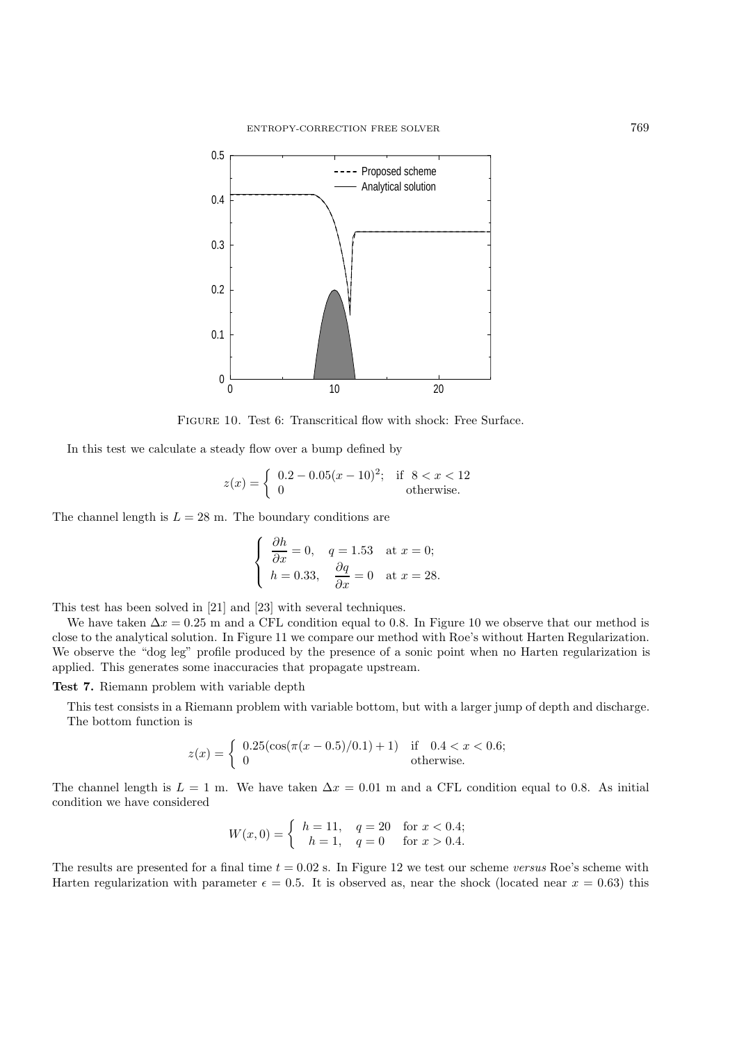

FIGURE 10. Test 6: Transcritical flow with shock: Free Surface.

In this test we calculate a steady flow over a bump defined by

$$
z(x) = \begin{cases} 0.2 - 0.05(x - 10)^2; & \text{if } 8 < x < 12\\ 0 & \text{otherwise.} \end{cases}
$$

The channel length is  $L = 28$  m. The boundary conditions are

$$
\begin{cases} \frac{\partial h}{\partial x} = 0, & q = 1.53 \text{ at } x = 0; \\ h = 0.33, & \frac{\partial q}{\partial x} = 0 \text{ at } x = 28. \end{cases}
$$

This test has been solved in [21] and [23] with several techniques.

We have taken  $\Delta x = 0.25$  m and a CFL condition equal to 0.8. In Figure 10 we observe that our method is close to the analytical solution. In Figure 11 we compare our method with Roe's without Harten Regularization. We observe the "dog leg" profile produced by the presence of a sonic point when no Harten regularization is applied. This generates some inaccuracies that propagate upstream.

**Test 7.** Riemann problem with variable depth

This test consists in a Riemann problem with variable bottom, but with a larger jump of depth and discharge. The bottom function is

$$
z(x) = \begin{cases} 0.25(\cos(\pi(x - 0.5)/0.1) + 1) & \text{if } 0.4 < x < 0.6; \\ 0 & \text{otherwise.} \end{cases}
$$

The channel length is  $L = 1$  m. We have taken  $\Delta x = 0.01$  m and a CFL condition equal to 0.8. As initial condition we have considered

$$
W(x,0) = \begin{cases} h = 11, & q = 20 \text{ for } x < 0.4; \\ h = 1, & q = 0 \text{ for } x > 0.4. \end{cases}
$$

The results are presented for a final time  $t = 0.02$  s. In Figure 12 we test our scheme *versus* Roe's scheme with Harten regularization with parameter  $\epsilon = 0.5$ . It is observed as, near the shock (located near  $x = 0.63$ ) this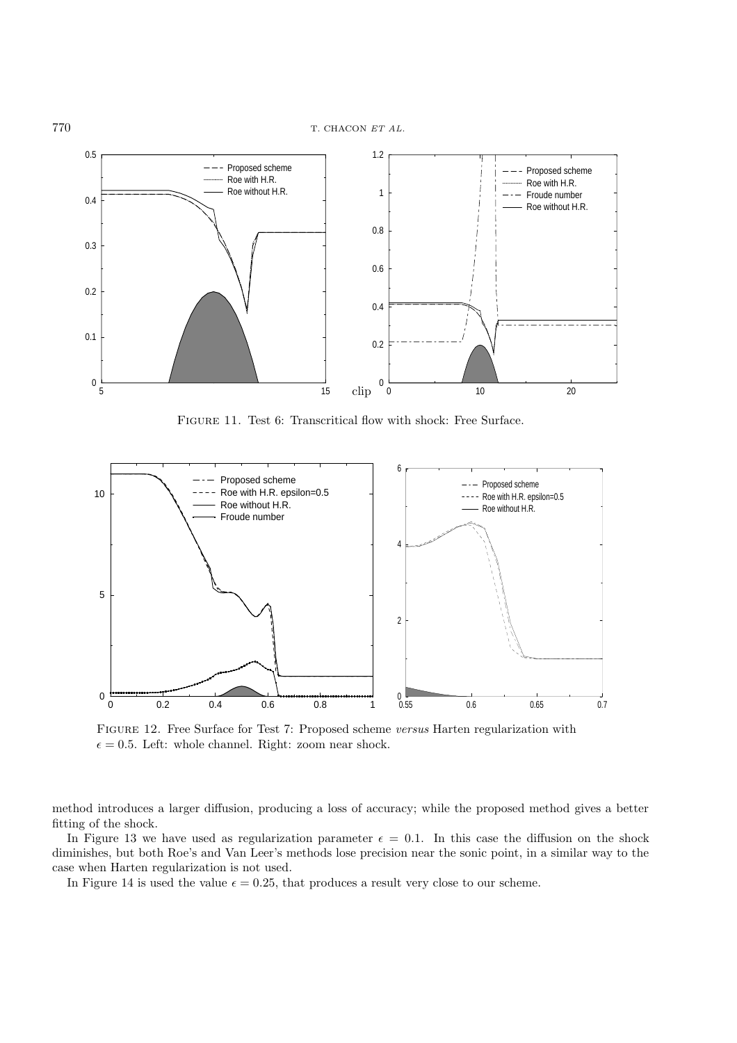

Figure 11. Test 6: Transcritical flow with shock: Free Surface.



Figure 12. Free Surface for Test 7: Proposed scheme *versus* Harten regularization with  $\epsilon = 0.5$ . Left: whole channel. Right: zoom near shock.

method introduces a larger diffusion, producing a loss of accuracy; while the proposed method gives a better fitting of the shock.

In Figure 13 we have used as regularization parameter  $\epsilon = 0.1$ . In this case the diffusion on the shock diminishes, but both Roe's and Van Leer's methods lose precision near the sonic point, in a similar way to the case when Harten regularization is not used.

In Figure 14 is used the value  $\epsilon = 0.25$ , that produces a result very close to our scheme.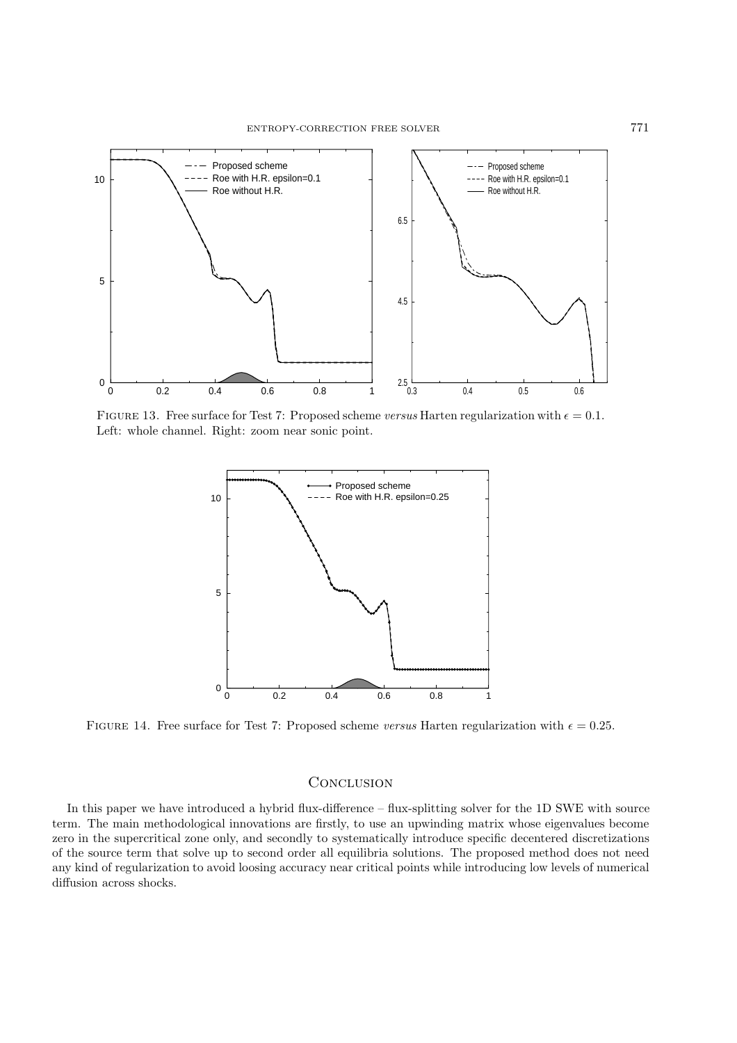

FIGURE 13. Free surface for Test 7: Proposed scheme *versus* Harten regularization with  $\epsilon = 0.1$ . Left: whole channel. Right: zoom near sonic point.



FIGURE 14. Free surface for Test 7: Proposed scheme *versus* Harten regularization with  $\epsilon = 0.25$ .

## **CONCLUSION**

In this paper we have introduced a hybrid flux-difference – flux-splitting solver for the 1D SWE with source term. The main methodological innovations are firstly, to use an upwinding matrix whose eigenvalues become zero in the supercritical zone only, and secondly to systematically introduce specific decentered discretizations of the source term that solve up to second order all equilibria solutions. The proposed method does not need any kind of regularization to avoid loosing accuracy near critical points while introducing low levels of numerical diffusion across shocks.